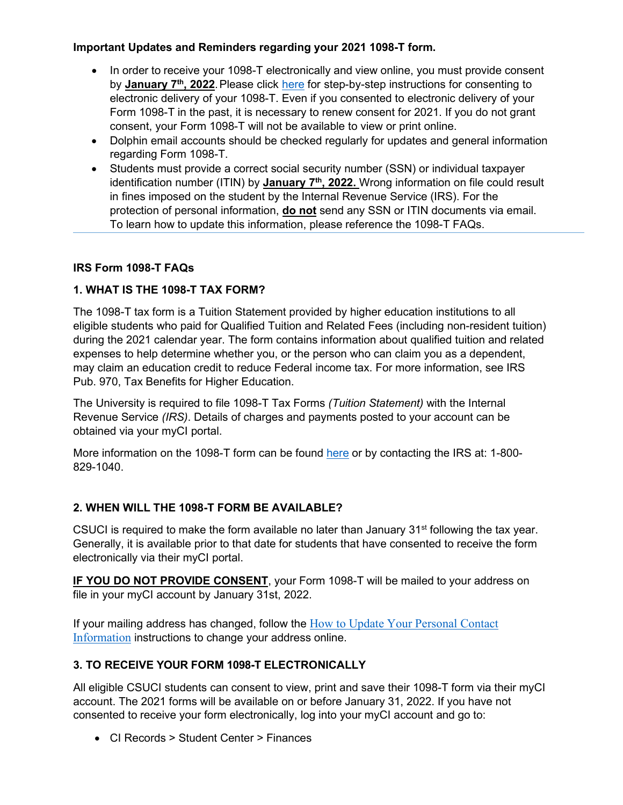# **Important Updates and Reminders regarding your 2021 1098-T form.**

- In order to receive your 1098-T electronically and view online, you must provide consent by **January 7th, 2022**. Please click [here](https://www.csuci.edu/sbs/documents/how-to-consent-for-a-1098-t.pdf) for step-by-step instructions for consenting to electronic delivery of your 1098-T. Even if you consented to electronic delivery of your Form 1098-T in the past, it is necessary to renew consent for 2021. If you do not grant consent, your Form 1098-T will not be available to view or print online.
- Dolphin email accounts should be checked regularly for updates and general information regarding Form 1098-T.
- Students must provide a correct social security number (SSN) or individual taxpayer identification number (ITIN) by **January 7<sup>th</sup>, 2022.** Wrong information on file could result in fines imposed on the student by the Internal Revenue Service (IRS). For the protection of personal information, **do not** send any SSN or ITIN documents via email. To learn how to update this information, please reference the 1098-T FAQs.

#### **IRS Form 1098-T FAQs**

# **1. WHAT IS THE 1098-T TAX FORM?**

The 1098-T tax form is a Tuition Statement provided by higher education institutions to all eligible students who paid for Qualified Tuition and Related Fees (including non-resident tuition) during the 2021 calendar year. The form contains information about qualified tuition and related expenses to help determine whether you, or the person who can claim you as a dependent, may claim an education credit to reduce Federal income tax. For more information, see IRS Pub. 970, Tax Benefits for Higher Education.

The University is required to file 1098-T Tax Forms *(Tuition Statement)* with the Internal Revenue Service *(IRS)*. Details of charges and payments posted to your account can be obtained via your myCI portal.

More information on the 1098-T form can be found [here](https://www.irs.gov/pub/irs-pdf/p970.pdf) or by contacting the IRS at: 1-800- 829-1040.

# **2. WHEN WILL THE 1098-T FORM BE AVAILABLE?**

CSUCI is required to make the form available no later than January  $31<sup>st</sup>$  following the tax year. Generally, it is available prior to that date for students that have consented to receive the form electronically via their myCI portal.

**IF YOU DO NOT PROVIDE CONSENT**, your Form 1098-T will be mailed to your address on file in your myCI account by January 31st, 2022.

If your mailing address has changed, follow the [How to Update Your Personal Contact](https://www.csuci.edu/registrar/misc_docs/how-to-update-campus-personal-information.pdf)  [Information](https://www.csuci.edu/registrar/misc_docs/how-to-update-campus-personal-information.pdf) instructions to change your address online.

# **3. TO RECEIVE YOUR FORM 1098-T ELECTRONICALLY**

All eligible CSUCI students can consent to view, print and save their 1098-T form via their myCI account. The 2021 forms will be available on or before January 31, 2022. If you have not consented to receive your form electronically, log into your myCI account and go to:

• CI Records > Student Center > Finances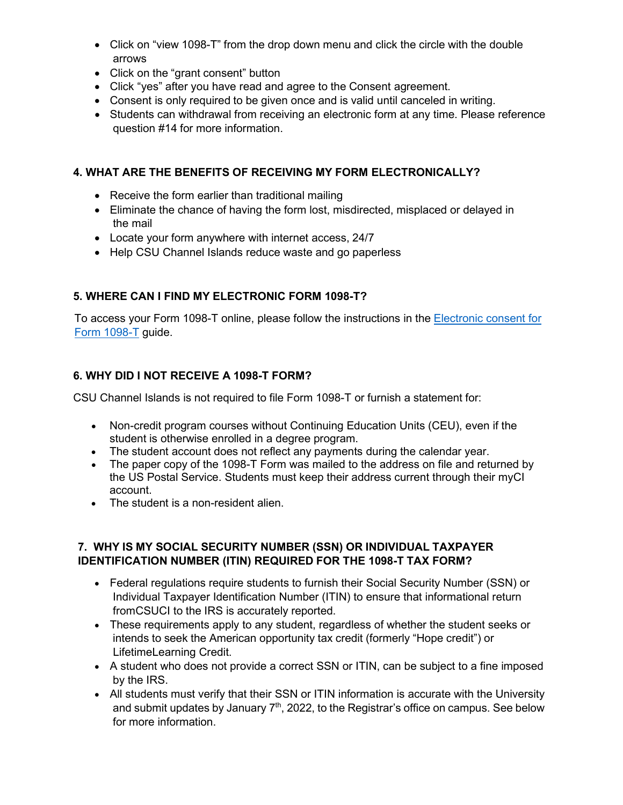- Click on "view 1098-T" from the drop down menu and click the circle with the double arrows
- Click on the "grant consent" button
- Click "yes" after you have read and agree to the Consent agreement.
- Consent is only required to be given once and is valid until canceled in writing.
- Students can withdrawal from receiving an electronic form at any time. Please reference question #14 for more information.

### **4. WHAT ARE THE BENEFITS OF RECEIVING MY FORM ELECTRONICALLY?**

- Receive the form earlier than traditional mailing
- Eliminate the chance of having the form lost, misdirected, misplaced or delayed in the mail
- Locate your form anywhere with internet access, 24/7
- Help CSU Channel Islands reduce waste and go paperless

# **5. WHERE CAN I FIND MY ELECTRONIC FORM 1098-T?**

To access your Form 1098-T online, please follow the instructions in the **Electronic consent for** [Form 1098-T](https://www.csuci.edu/sbs/documents/how-to-consent-for-a-1098-t.pdf) [g](https://www.csuci.edu/sbs/documents/how-to-consent-for-a-1098-t.pdf)uide.

#### **6. WHY DID I NOT RECEIVE A 1098-T FORM?**

CSU Channel Islands is not required to file Form 1098-T or furnish a statement for:

- Non-credit program courses without Continuing Education Units (CEU), even if the student is otherwise enrolled in a degree program.
- The student account does not reflect any payments during the calendar year.
- The paper copy of the 1098-T Form was mailed to the address on file and returned by the US Postal Service. Students must keep their address current through their myCI account.
- The student is a non-resident alien.

# **7. WHY IS MY SOCIAL SECURITY NUMBER (SSN) OR INDIVIDUAL TAXPAYER IDENTIFICATION NUMBER (ITIN) REQUIRED FOR THE 1098-T TAX FORM?**

- Federal regulations require students to furnish their Social Security Number (SSN) or Individual Taxpayer Identification Number (ITIN) to ensure that informational return fromCSUCI to the IRS is accurately reported.
- These requirements apply to any student, regardless of whether the student seeks or intends to seek the American opportunity tax credit (formerly "Hope credit") or LifetimeLearning Credit.
- A student who does not provide a correct SSN or ITIN, can be subject to a fine imposed by the IRS.
- All students must verify that their SSN or ITIN information is accurate with the University and submit updates by January  $7<sup>th</sup>$ , 2022, to the Registrar's office on campus. See below for more information.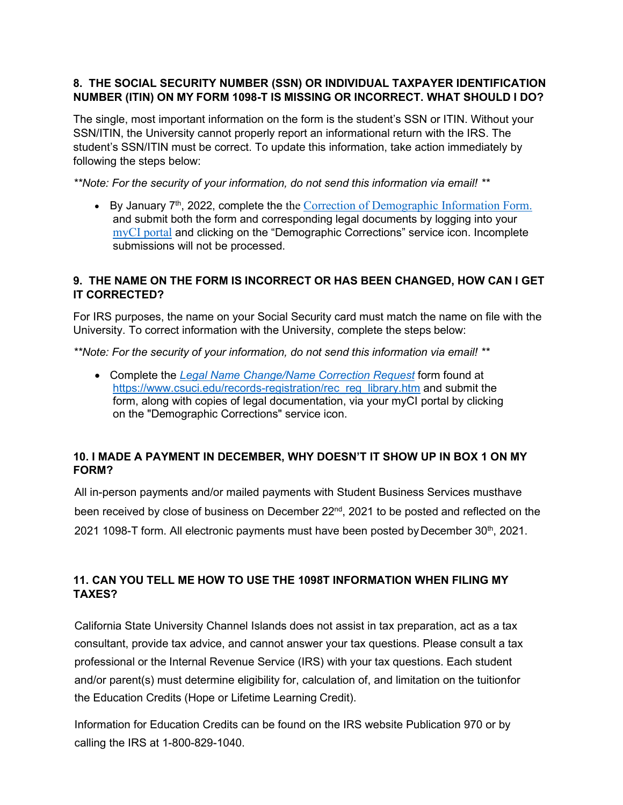### **8. THE SOCIAL SECURITY NUMBER (SSN) OR INDIVIDUAL TAXPAYER IDENTIFICATION NUMBER (ITIN) ON MY FORM 1098-T IS MISSING OR INCORRECT. WHAT SHOULD I DO?**

The single, most important information on the form is the student's SSN or ITIN. Without your SSN/ITIN, the University cannot properly report an informational return with the IRS. The student's SSN/ITIN must be correct. To update this information, take action immediately by following the steps below:

*\*\*Note: For the security of your information, do not send this information via email! \*\**

• By January  $7<sup>th</sup>$ , 2022, complete the the [Correction of Demographic Information Form.](https://www.csuci.edu/registrar/rec_libr_docs/demographic-correction.pdf) and submit both the form and corresponding legal documents by logging into your [myCI portal](https://myci.csuci.edu/idp/profile/cas/login?execution=e1s1) and clicking on the "Demographic Corrections" service icon. Incomplete submissions will not be processed.

### **9. THE NAME ON THE FORM IS INCORRECT OR HAS BEEN CHANGED, HOW CAN I GET IT CORRECTED?**

For IRS purposes, the name on your Social Security card must match the name on file with the University. To correct information with the University, complete the steps below:

*\*\*Note: For the security of your information, do not send this information via email! \*\**

• Complete the *[Legal Name Change/Name Correction Request](https://www.csuci.edu/records-registration/rec_libr_docs/legal-name-change-correction.pdf)* form found at [https://www.csuci.edu/records-registration/rec\\_reg\\_library.htm](https://www.csuci.edu/records-registration/rec_reg_library.htm) and submit the form, along with copies of legal documentation, via your myCI portal by clicking on the "Demographic Corrections" service icon.

#### **10. I MADE A PAYMENT IN DECEMBER, WHY DOESN'T IT SHOW UP IN BOX 1 ON MY FORM?**

All in-person payments and/or mailed payments with Student Business Services musthave been received by close of business on December 22<sup>nd</sup>, 2021 to be posted and reflected on the 2021 1098-T form. All electronic payments must have been posted by December 30<sup>th</sup>, 2021.

# **11. CAN YOU TELL ME HOW TO USE THE 1098T INFORMATION WHEN FILING MY TAXES?**

California State University Channel Islands does not assist in tax preparation, act as a tax consultant, provide tax advice, and cannot answer your tax questions. Please consult a tax professional or the Internal Revenue Service (IRS) with your tax questions. Each student and/or parent(s) must determine eligibility for, calculation of, and limitation on the tuitionfor the Education Credits (Hope or Lifetime Learning Credit).

Information for Education Credits can be found on the IRS website Publication 970 or by calling the IRS at 1-800-829-1040.